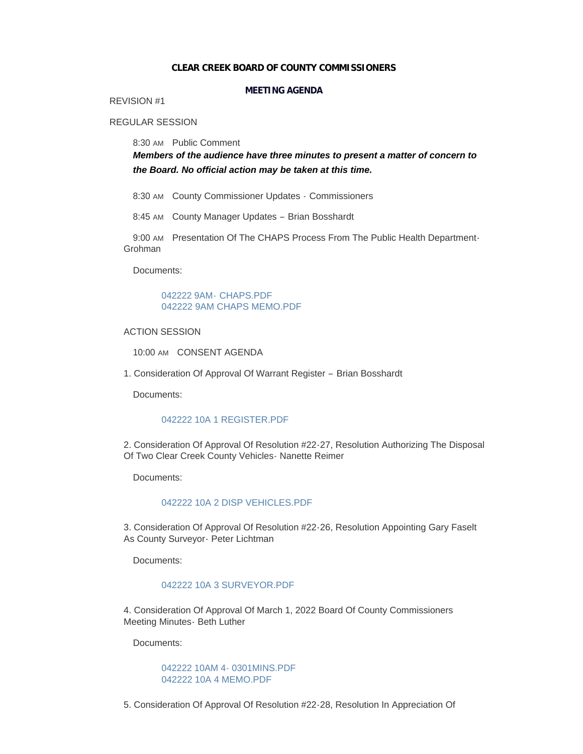### **CLEAR CREEK BOARD OF COUNTY COMMISSIONERS**

# **MEETING AGENDA**

# REVISION #1

# REGULAR SESSION

8:30 AM Public Comment

*Members of the audience have three minutes to present a matter of concern to the Board. No official action may be taken at this time.*

8:30 AM County Commissioner Updates - Commissioners

8:45 AM County Manager Updates - Brian Bosshardt

9:00 AM Presentation Of The CHAPS Process From The Public Health Department-Grohman

Documents:

[042222 9AM-](https://www.clearcreekcounty.us/AgendaCenter/ViewFile/Item/6888?fileID=10494) CHAPS.PDF [042222 9AM CHAPS MEMO.PDF](https://www.clearcreekcounty.us/AgendaCenter/ViewFile/Item/6888?fileID=10570)

ACTION SESSION

10:00 AM CONSENT AGENDA

1. Consideration Of Approval Of Warrant Register – Brian Bosshardt

Documents:

### [042222 10A 1 REGISTER.PDF](https://www.clearcreekcounty.us/AgendaCenter/ViewFile/Item/6884?fileID=10491)

2. Consideration Of Approval Of Resolution #22-27, Resolution Authorizing The Disposal Of Two Clear Creek County Vehicles- Nanette Reimer

Documents:

### [042222 10A 2 DISP VEHICLES.PDF](https://www.clearcreekcounty.us/AgendaCenter/ViewFile/Item/6885?fileID=10492)

3. Consideration Of Approval Of Resolution #22-26, Resolution Appointing Gary Faselt As County Surveyor- Peter Lichtman

Documents:

### [042222 10A 3 SURVEYOR.PDF](https://www.clearcreekcounty.us/AgendaCenter/ViewFile/Item/6886?fileID=10493)

4. Consideration Of Approval Of March 1, 2022 Board Of County Commissioners Meeting Minutes- Beth Luther

Documents:

# [042222 10AM 4- 0301MINS.PDF](https://www.clearcreekcounty.us/AgendaCenter/ViewFile/Item/6893?fileID=10571) [042222 10A 4 MEMO.PDF](https://www.clearcreekcounty.us/AgendaCenter/ViewFile/Item/6893?fileID=10572)

5. Consideration Of Approval Of Resolution #22-28, Resolution In Appreciation Of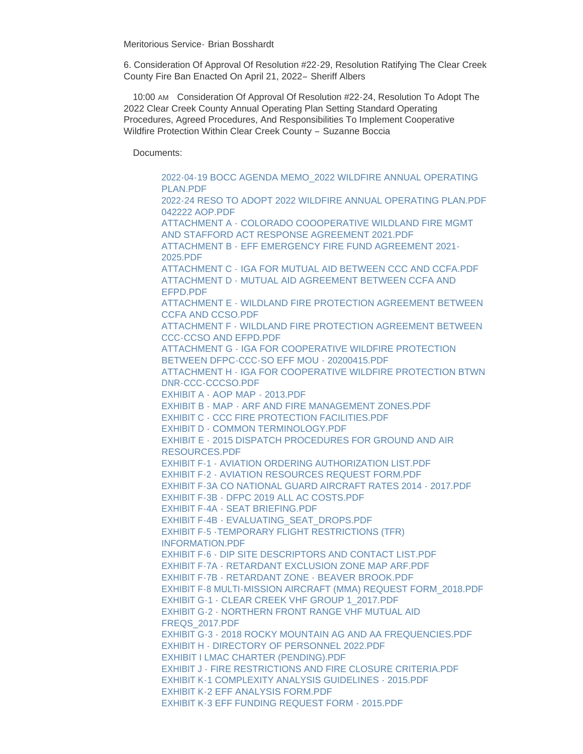Meritorious Service- Brian Bosshardt

6. Consideration Of Approval Of Resolution #22-29, Resolution Ratifying The Clear Creek County Fire Ban Enacted On April 21, 2022– Sheriff Albers

10:00 AM Consideration Of Approval Of Resolution #22-24, Resolution To Adopt The 2022 Clear Creek County Annual Operating Plan Setting Standard Operating Procedures, Agreed Procedures, And Responsibilities To Implement Cooperative Wildfire Protection Within Clear Creek County – Suzanne Boccia

Documents:

[2022-04-19 BOCC AGENDA MEMO\\_2022 WILDFIRE ANNUAL OPERATING](https://www.clearcreekcounty.us/AgendaCenter/ViewFile/Item/6889?fileID=10495)  PLAN.PDF [2022-24 RESO TO ADOPT 2022 WILDFIRE ANNUAL OPERATING PLAN.PDF](https://www.clearcreekcounty.us/AgendaCenter/ViewFile/Item/6889?fileID=10496) [042222 AOP.PDF](https://www.clearcreekcounty.us/AgendaCenter/ViewFile/Item/6889?fileID=10497) ATTACHMENT A - COLORADO COOOPERATIVE WILDLAND FIRE MGMT [AND STAFFORD ACT RESPONSE AGREEMENT 2021.PDF](https://www.clearcreekcounty.us/AgendaCenter/ViewFile/Item/6889?fileID=10498) ATTACHMENT B - [EFF EMERGENCY FIRE FUND AGREEMENT 2021-](https://www.clearcreekcounty.us/AgendaCenter/ViewFile/Item/6889?fileID=10499) 2025.PDF ATTACHMENT C - [IGA FOR MUTUAL AID BETWEEN CCC AND CCFA.PDF](https://www.clearcreekcounty.us/AgendaCenter/ViewFile/Item/6889?fileID=10500) [ATTACHMENT D - MUTUAL AID AGREEMENT BETWEEN CCFA AND](https://www.clearcreekcounty.us/AgendaCenter/ViewFile/Item/6889?fileID=10501)  EFPD.PDF [ATTACHMENT E - WILDLAND FIRE PROTECTION AGREEMENT BETWEEN](https://www.clearcreekcounty.us/AgendaCenter/ViewFile/Item/6889?fileID=10502)  CCFA AND CCSO.PDF [ATTACHMENT F - WILDLAND FIRE PROTECTION AGREEMENT BETWEEN](https://www.clearcreekcounty.us/AgendaCenter/ViewFile/Item/6889?fileID=10503)  CCC-CCSO AND EFPD.PDF [ATTACHMENT G - IGA FOR COOPERATIVE WILDFIRE PROTECTION](https://www.clearcreekcounty.us/AgendaCenter/ViewFile/Item/6889?fileID=10504)  BETWEEN DFPC-CCC-SO EFF MOU - 20200415.PDF [ATTACHMENT H - IGA FOR COOPERATIVE WILDFIRE PROTECTION BTWN](https://www.clearcreekcounty.us/AgendaCenter/ViewFile/Item/6889?fileID=10505)  DNR-CCC-CCCSO.PDF [EXHIBIT A - AOP MAP - 2013.PDF](https://www.clearcreekcounty.us/AgendaCenter/ViewFile/Item/6889?fileID=10506) [EXHIBIT B - MAP - ARF AND FIRE MANAGEMENT ZONES.PDF](https://www.clearcreekcounty.us/AgendaCenter/ViewFile/Item/6889?fileID=10507) [EXHIBIT C - CCC FIRE PROTECTION FACILITIES.PDF](https://www.clearcreekcounty.us/AgendaCenter/ViewFile/Item/6889?fileID=10508) [EXHIBIT D - COMMON TERMINOLOGY.PDF](https://www.clearcreekcounty.us/AgendaCenter/ViewFile/Item/6889?fileID=10509) [EXHIBIT E - 2015 DISPATCH PROCEDURES FOR GROUND AND AIR](https://www.clearcreekcounty.us/AgendaCenter/ViewFile/Item/6889?fileID=10510)  RESOURCES.PDF EXHIBIT F-1 - AVIATION ORDERING AUTHORIZATION LIST PDF [EXHIBIT F-2 - AVIATION RESOURCES REQUEST FORM.PDF](https://www.clearcreekcounty.us/AgendaCenter/ViewFile/Item/6889?fileID=10512) [EXHIBIT F-3A CO NATIONAL GUARD AIRCRAFT RATES 2014 - 2017.PDF](https://www.clearcreekcounty.us/AgendaCenter/ViewFile/Item/6889?fileID=10513) [EXHIBIT F-3B - DFPC 2019 ALL AC COSTS.PDF](https://www.clearcreekcounty.us/AgendaCenter/ViewFile/Item/6889?fileID=10514) [EXHIBIT F-4A - SEAT BRIEFING.PDF](https://www.clearcreekcounty.us/AgendaCenter/ViewFile/Item/6889?fileID=10515) [EXHIBIT F-4B - EVALUATING\\_SEAT\\_DROPS.PDF](https://www.clearcreekcounty.us/AgendaCenter/ViewFile/Item/6889?fileID=10516) [EXHIBIT F-5 -TEMPORARY FLIGHT RESTRICTIONS \(TFR\)](https://www.clearcreekcounty.us/AgendaCenter/ViewFile/Item/6889?fileID=10517)  INFORMATION.PDF [EXHIBIT F-6 - DIP SITE DESCRIPTORS AND CONTACT LIST.PDF](https://www.clearcreekcounty.us/AgendaCenter/ViewFile/Item/6889?fileID=10518) [EXHIBIT F-7A - RETARDANT EXCLUSION ZONE MAP ARF.PDF](https://www.clearcreekcounty.us/AgendaCenter/ViewFile/Item/6889?fileID=10519) [EXHIBIT F-7B - RETARDANT ZONE - BEAVER BROOK.PDF](https://www.clearcreekcounty.us/AgendaCenter/ViewFile/Item/6889?fileID=10520) [EXHIBIT F-8 MULTI-MISSION AIRCRAFT \(MMA\) REQUEST FORM\\_2018.PDF](https://www.clearcreekcounty.us/AgendaCenter/ViewFile/Item/6889?fileID=10521) [EXHIBIT G-1 - CLEAR CREEK VHF GROUP 1\\_2017.PDF](https://www.clearcreekcounty.us/AgendaCenter/ViewFile/Item/6889?fileID=10522) [EXHIBIT G-2 - NORTHERN FRONT RANGE VHF MUTUAL AID](https://www.clearcreekcounty.us/AgendaCenter/ViewFile/Item/6889?fileID=10523)  FREQS\_2017.PDF [EXHIBIT G-3 - 2018 ROCKY MOUNTAIN AG AND AA FREQUENCIES.PDF](https://www.clearcreekcounty.us/AgendaCenter/ViewFile/Item/6889?fileID=10524) [EXHIBIT H - DIRECTORY OF PERSONNEL 2022.PDF](https://www.clearcreekcounty.us/AgendaCenter/ViewFile/Item/6889?fileID=10525) [EXHIBIT I LMAC CHARTER \(PENDING\).PDF](https://www.clearcreekcounty.us/AgendaCenter/ViewFile/Item/6889?fileID=10526) [EXHIBIT J - FIRE RESTRICTIONS AND FIRE CLOSURE CRITERIA.PDF](https://www.clearcreekcounty.us/AgendaCenter/ViewFile/Item/6889?fileID=10527) [EXHIBIT K-1 COMPLEXITY ANALYSIS GUIDELINES - 2015.PDF](https://www.clearcreekcounty.us/AgendaCenter/ViewFile/Item/6889?fileID=10528) [EXHIBIT K-2 EFF ANALYSIS FORM.PDF](https://www.clearcreekcounty.us/AgendaCenter/ViewFile/Item/6889?fileID=10529) [EXHIBIT K-3 EFF FUNDING REQUEST FORM - 2015.PDF](https://www.clearcreekcounty.us/AgendaCenter/ViewFile/Item/6889?fileID=10530)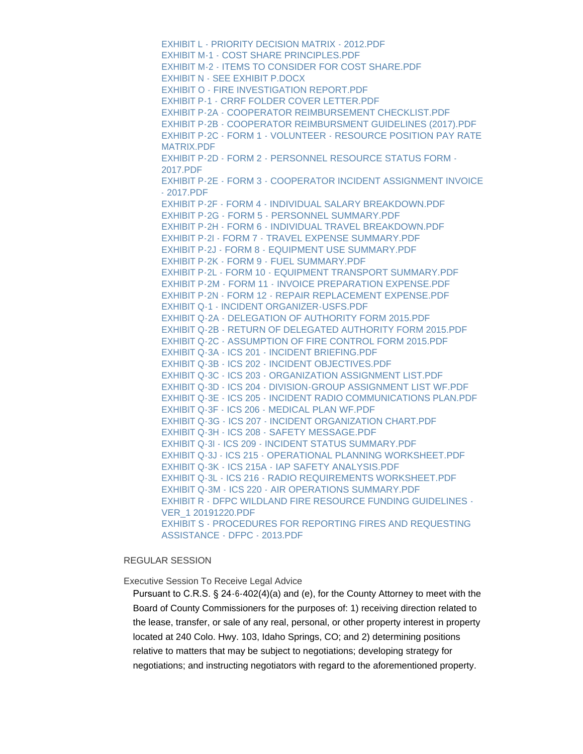[EXHIBIT L - PRIORITY DECISION MATRIX - 2012.PDF](https://www.clearcreekcounty.us/AgendaCenter/ViewFile/Item/6889?fileID=10531) [EXHIBIT M-1 - COST SHARE PRINCIPLES.PDF](https://www.clearcreekcounty.us/AgendaCenter/ViewFile/Item/6889?fileID=10532) [EXHIBIT M-2 - ITEMS TO CONSIDER FOR COST SHARE.PDF](https://www.clearcreekcounty.us/AgendaCenter/ViewFile/Item/6889?fileID=10533) [EXHIBIT N - SEE EXHIBIT P.DOCX](https://www.clearcreekcounty.us/AgendaCenter/ViewFile/Item/6889?fileID=10534) [EXHIBIT O - FIRE INVESTIGATION REPORT.PDF](https://www.clearcreekcounty.us/AgendaCenter/ViewFile/Item/6889?fileID=10535) [EXHIBIT P-1 - CRRF FOLDER COVER LETTER.PDF](https://www.clearcreekcounty.us/AgendaCenter/ViewFile/Item/6889?fileID=10536) [EXHIBIT P-2A - COOPERATOR REIMBURSEMENT CHECKLIST.PDF](https://www.clearcreekcounty.us/AgendaCenter/ViewFile/Item/6889?fileID=10537) [EXHIBIT P-2B - COOPERATOR REIMBURSMENT GUIDELINES \(2017\).PDF](https://www.clearcreekcounty.us/AgendaCenter/ViewFile/Item/6889?fileID=10538) [EXHIBIT P-2C - FORM 1 - VOLUNTEER - RESOURCE POSITION PAY RATE](https://www.clearcreekcounty.us/AgendaCenter/ViewFile/Item/6889?fileID=10539)  MATRIX.PDF [EXHIBIT P-2D - FORM 2 - PERSONNEL RESOURCE STATUS FORM -](https://www.clearcreekcounty.us/AgendaCenter/ViewFile/Item/6889?fileID=10540) 2017.PDF [EXHIBIT P-2E - FORM 3 - COOPERATOR INCIDENT ASSIGNMENT INVOICE](https://www.clearcreekcounty.us/AgendaCenter/ViewFile/Item/6889?fileID=10541)  - 2017.PDF [EXHIBIT P-2F - FORM 4 - INDIVIDUAL SALARY BREAKDOWN.PDF](https://www.clearcreekcounty.us/AgendaCenter/ViewFile/Item/6889?fileID=10542) [EXHIBIT P-2G - FORM 5 - PERSONNEL SUMMARY.PDF](https://www.clearcreekcounty.us/AgendaCenter/ViewFile/Item/6889?fileID=10543) [EXHIBIT P-2H - FORM 6 - INDIVIDUAL TRAVEL BREAKDOWN.PDF](https://www.clearcreekcounty.us/AgendaCenter/ViewFile/Item/6889?fileID=10544) [EXHIBIT P-2I - FORM 7 - TRAVEL EXPENSE SUMMARY.PDF](https://www.clearcreekcounty.us/AgendaCenter/ViewFile/Item/6889?fileID=10545) [EXHIBIT P-2J - FORM 8 - EQUIPMENT USE SUMMARY.PDF](https://www.clearcreekcounty.us/AgendaCenter/ViewFile/Item/6889?fileID=10546) [EXHIBIT P-2K - FORM 9 - FUEL SUMMARY.PDF](https://www.clearcreekcounty.us/AgendaCenter/ViewFile/Item/6889?fileID=10547) [EXHIBIT P-2L - FORM 10 - EQUIPMENT TRANSPORT SUMMARY.PDF](https://www.clearcreekcounty.us/AgendaCenter/ViewFile/Item/6889?fileID=10548) [EXHIBIT P-2M - FORM 11 - INVOICE PREPARATION EXPENSE.PDF](https://www.clearcreekcounty.us/AgendaCenter/ViewFile/Item/6889?fileID=10549) [EXHIBIT P-2N - FORM 12 - REPAIR REPLACEMENT EXPENSE.PDF](https://www.clearcreekcounty.us/AgendaCenter/ViewFile/Item/6889?fileID=10550) [EXHIBIT Q-1 - INCIDENT ORGANIZER-USFS.PDF](https://www.clearcreekcounty.us/AgendaCenter/ViewFile/Item/6889?fileID=10551) [EXHIBIT Q-2A - DELEGATION OF AUTHORITY FORM 2015.PDF](https://www.clearcreekcounty.us/AgendaCenter/ViewFile/Item/6889?fileID=10552) [EXHIBIT Q-2B - RETURN OF DELEGATED AUTHORITY FORM 2015.PDF](https://www.clearcreekcounty.us/AgendaCenter/ViewFile/Item/6889?fileID=10553) [EXHIBIT Q-2C - ASSUMPTION OF FIRE CONTROL FORM 2015.PDF](https://www.clearcreekcounty.us/AgendaCenter/ViewFile/Item/6889?fileID=10554) [EXHIBIT Q-3A - ICS 201 - INCIDENT BRIEFING.PDF](https://www.clearcreekcounty.us/AgendaCenter/ViewFile/Item/6889?fileID=10555) [EXHIBIT Q-3B - ICS 202 - INCIDENT OBJECTIVES.PDF](https://www.clearcreekcounty.us/AgendaCenter/ViewFile/Item/6889?fileID=10556) [EXHIBIT Q-3C - ICS 203 - ORGANIZATION ASSIGNMENT LIST.PDF](https://www.clearcreekcounty.us/AgendaCenter/ViewFile/Item/6889?fileID=10557) [EXHIBIT Q-3D - ICS 204 - DIVISION-GROUP ASSIGNMENT LIST WF.PDF](https://www.clearcreekcounty.us/AgendaCenter/ViewFile/Item/6889?fileID=10558) [EXHIBIT Q-3E - ICS 205 - INCIDENT RADIO COMMUNICATIONS PLAN.PDF](https://www.clearcreekcounty.us/AgendaCenter/ViewFile/Item/6889?fileID=10559) [EXHIBIT Q-3F - ICS 206 - MEDICAL PLAN WF.PDF](https://www.clearcreekcounty.us/AgendaCenter/ViewFile/Item/6889?fileID=10560) [EXHIBIT Q-3G - ICS 207 - INCIDENT ORGANIZATION CHART.PDF](https://www.clearcreekcounty.us/AgendaCenter/ViewFile/Item/6889?fileID=10561) [EXHIBIT Q-3H - ICS 208 - SAFETY MESSAGE.PDF](https://www.clearcreekcounty.us/AgendaCenter/ViewFile/Item/6889?fileID=10562) [EXHIBIT Q-3I - ICS 209 - INCIDENT STATUS SUMMARY.PDF](https://www.clearcreekcounty.us/AgendaCenter/ViewFile/Item/6889?fileID=10563) [EXHIBIT Q-3J - ICS 215 - OPERATIONAL PLANNING WORKSHEET.PDF](https://www.clearcreekcounty.us/AgendaCenter/ViewFile/Item/6889?fileID=10564) [EXHIBIT Q-3K - ICS 215A - IAP SAFETY ANALYSIS.PDF](https://www.clearcreekcounty.us/AgendaCenter/ViewFile/Item/6889?fileID=10565) [EXHIBIT Q-3L - ICS 216 - RADIO REQUIREMENTS WORKSHEET.PDF](https://www.clearcreekcounty.us/AgendaCenter/ViewFile/Item/6889?fileID=10566) [EXHIBIT Q-3M - ICS 220 - AIR OPERATIONS SUMMARY.PDF](https://www.clearcreekcounty.us/AgendaCenter/ViewFile/Item/6889?fileID=10567) [EXHIBIT R - DFPC WILDLAND FIRE RESOURCE FUNDING GUIDELINES -](https://www.clearcreekcounty.us/AgendaCenter/ViewFile/Item/6889?fileID=10568) VER\_1 20191220.PDF [EXHIBIT S - PROCEDURES FOR REPORTING FIRES AND REQUESTING](https://www.clearcreekcounty.us/AgendaCenter/ViewFile/Item/6889?fileID=10569)  ASSISTANCE - DFPC - 2013.PDF

# REGULAR SESSION

Executive Session To Receive Legal Advice

Pursuant to C.R.S. § 24-6-402(4)(a) and (e), for the County Attorney to meet with the Board of County Commissioners for the purposes of: 1) receiving direction related to the lease, transfer, or sale of any real, personal, or other property interest in property located at 240 Colo. Hwy. 103, Idaho Springs, CO; and 2) determining positions relative to matters that may be subject to negotiations; developing strategy for negotiations; and instructing negotiators with regard to the aforementioned property.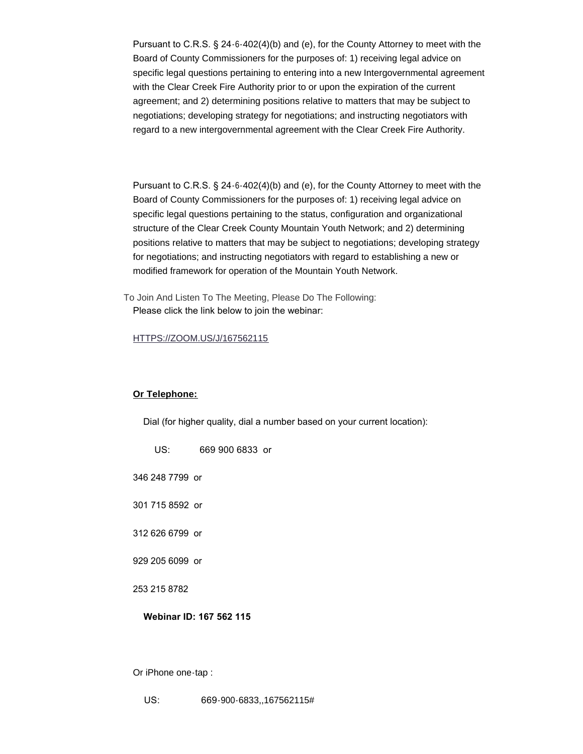Pursuant to C.R.S. § 24-6-402(4)(b) and (e), for the County Attorney to meet with the Board of County Commissioners for the purposes of: 1) receiving legal advice on specific legal questions pertaining to entering into a new Intergovernmental agreement with the Clear Creek Fire Authority prior to or upon the expiration of the current agreement; and 2) determining positions relative to matters that may be subject to negotiations; developing strategy for negotiations; and instructing negotiators with regard to a new intergovernmental agreement with the Clear Creek Fire Authority.

Pursuant to C.R.S. § 24-6-402(4)(b) and (e), for the County Attorney to meet with the Board of County Commissioners for the purposes of: 1) receiving legal advice on specific legal questions pertaining to the status, configuration and organizational structure of the Clear Creek County Mountain Youth Network; and 2) determining positions relative to matters that may be subject to negotiations; developing strategy for negotiations; and instructing negotiators with regard to establishing a new or modified framework for operation of the Mountain Youth Network.

To Join And Listen To The Meeting, Please Do The Following: Please click the link below to join the webinar:

### [HTTPS://ZOOM.US/J/167562115](https://zoom.us/j/167562115)

#### **Or Telephone:**

Dial (for higher quality, dial a number based on your current location):

| US:                     | 669 900 6833 or |  |
|-------------------------|-----------------|--|
| 346 248 7799 or         |                 |  |
| 301 715 8592 or         |                 |  |
| 312 626 6799 or         |                 |  |
| 929 205 6099 or         |                 |  |
| 253 215 8782            |                 |  |
| Webinar ID: 167 562 115 |                 |  |
|                         |                 |  |

Or iPhone one-tap :